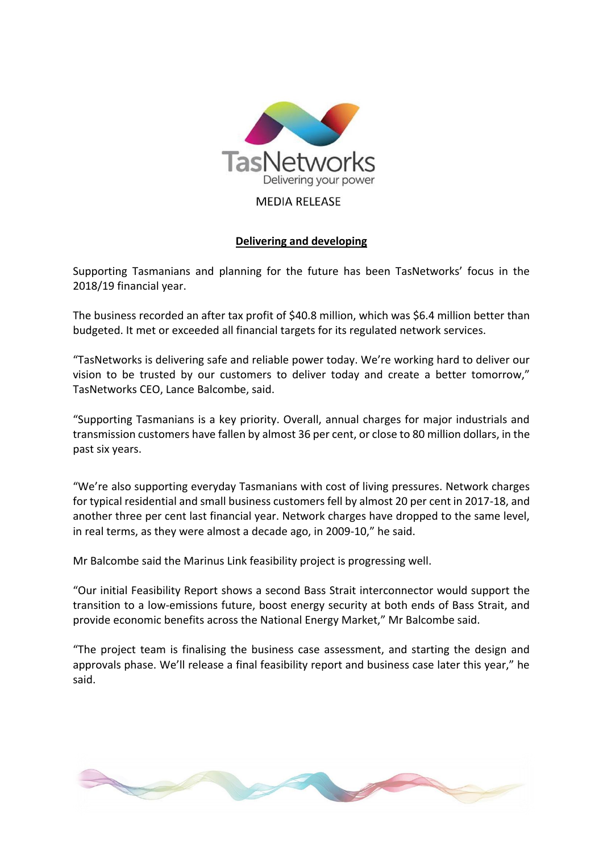

## **MEDIA RELEASE**

## **Delivering and developing**

Supporting Tasmanians and planning for the future has been TasNetworks' focus in the 2018/19 financial year.

The business recorded an after tax profit of \$40.8 million, which was \$6.4 million better than budgeted. It met or exceeded all financial targets for its regulated network services.

"TasNetworks is delivering safe and reliable power today. We're working hard to deliver our vision to be trusted by our customers to deliver today and create a better tomorrow," TasNetworks CEO, Lance Balcombe, said.

"Supporting Tasmanians is a key priority. Overall, annual charges for major industrials and transmission customers have fallen by almost 36 per cent, or close to 80 million dollars, in the past six years.

"We're also supporting everyday Tasmanians with cost of living pressures. Network charges for typical residential and small business customers fell by almost 20 per cent in 2017-18, and another three per cent last financial year. Network charges have dropped to the same level, in real terms, as they were almost a decade ago, in 2009-10," he said.

Mr Balcombe said the Marinus Link feasibility project is progressing well.

"Our initial Feasibility Report shows a second Bass Strait interconnector would support the transition to a low-emissions future, boost energy security at both ends of Bass Strait, and provide economic benefits across the National Energy Market," Mr Balcombe said.

"The project team is finalising the business case assessment, and starting the design and approvals phase. We'll release a final feasibility report and business case later this year," he said.